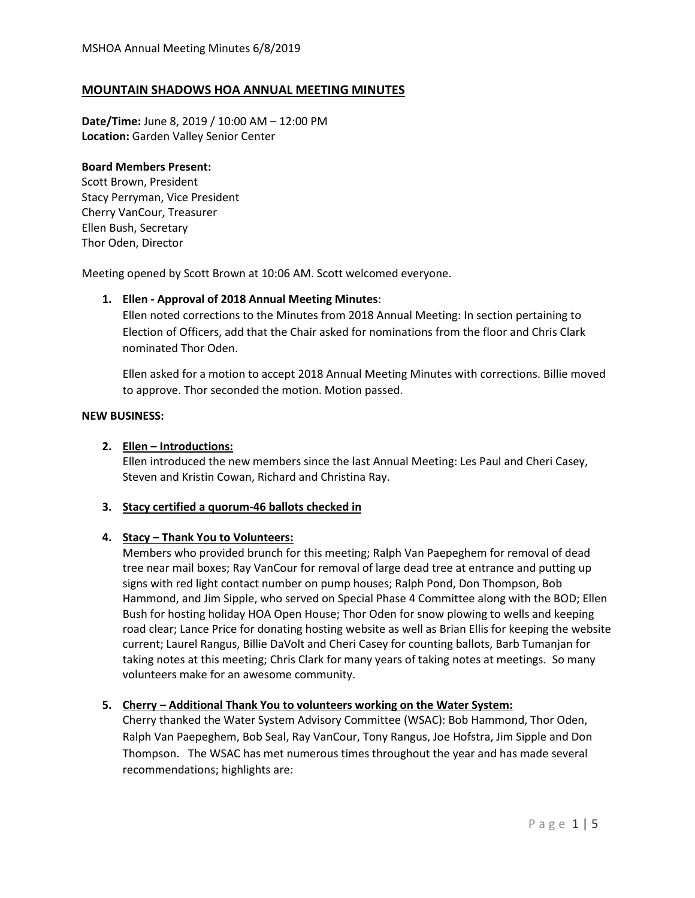# **MOUNTAIN SHADOWS HOA ANNUAL MEETING MINUTES**

**Date/Time:** June 8, 2019 / 10:00 AM – 12:00 PM **Location:** Garden Valley Senior Center

#### **Board Members Present:**

Scott Brown, President Stacy Perryman, Vice President Cherry VanCour, Treasurer Ellen Bush, Secretary Thor Oden, Director

Meeting opened by Scott Brown at 10:06 AM. Scott welcomed everyone.

## **1. Ellen - Approval of 2018 Annual Meeting Minutes**:

Ellen noted corrections to the Minutes from 2018 Annual Meeting: In section pertaining to Election of Officers, add that the Chair asked for nominations from the floor and Chris Clark nominated Thor Oden.

Ellen asked for a motion to accept 2018 Annual Meeting Minutes with corrections. Billie moved to approve. Thor seconded the motion. Motion passed.

#### **NEW BUSINESS:**

## **2. Ellen – Introductions:**

Ellen introduced the new members since the last Annual Meeting: Les Paul and Cheri Casey, Steven and Kristin Cowan, Richard and Christina Ray.

## **3. Stacy certified a quorum-46 ballots checked in**

## **4. Stacy – Thank You to Volunteers:**

Members who provided brunch for this meeting; Ralph Van Paepeghem for removal of dead tree near mail boxes; Ray VanCour for removal of large dead tree at entrance and putting up signs with red light contact number on pump houses; Ralph Pond, Don Thompson, Bob Hammond, and Jim Sipple, who served on Special Phase 4 Committee along with the BOD; Ellen Bush for hosting holiday HOA Open House; Thor Oden for snow plowing to wells and keeping road clear; Lance Price for donating hosting website as well as Brian Ellis for keeping the website current; Laurel Rangus, Billie DaVolt and Cheri Casey for counting ballots, Barb Tumanjan for taking notes at this meeting; Chris Clark for many years of taking notes at meetings. So many volunteers make for an awesome community.

## **5. Cherry – Additional Thank You to volunteers working on the Water System:**

Cherry thanked the Water System Advisory Committee (WSAC): Bob Hammond, Thor Oden, Ralph Van Paepeghem, Bob Seal, Ray VanCour, Tony Rangus, Joe Hofstra, Jim Sipple and Don Thompson. The WSAC has met numerous times throughout the year and has made several recommendations; highlights are: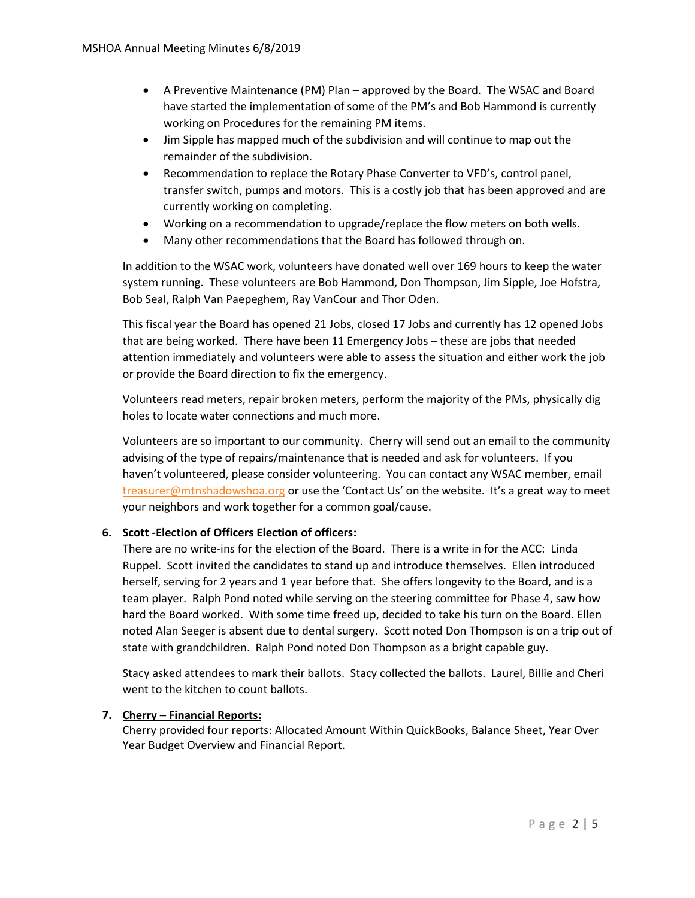- A Preventive Maintenance (PM) Plan approved by the Board. The WSAC and Board have started the implementation of some of the PM's and Bob Hammond is currently working on Procedures for the remaining PM items.
- Jim Sipple has mapped much of the subdivision and will continue to map out the remainder of the subdivision.
- Recommendation to replace the Rotary Phase Converter to VFD's, control panel, transfer switch, pumps and motors. This is a costly job that has been approved and are currently working on completing.
- Working on a recommendation to upgrade/replace the flow meters on both wells.
- Many other recommendations that the Board has followed through on.

In addition to the WSAC work, volunteers have donated well over 169 hours to keep the water system running. These volunteers are Bob Hammond, Don Thompson, Jim Sipple, Joe Hofstra, Bob Seal, Ralph Van Paepeghem, Ray VanCour and Thor Oden.

This fiscal year the Board has opened 21 Jobs, closed 17 Jobs and currently has 12 opened Jobs that are being worked. There have been 11 Emergency Jobs – these are jobs that needed attention immediately and volunteers were able to assess the situation and either work the job or provide the Board direction to fix the emergency.

Volunteers read meters, repair broken meters, perform the majority of the PMs, physically dig holes to locate water connections and much more.

Volunteers are so important to our community. Cherry will send out an email to the community advising of the type of repairs/maintenance that is needed and ask for volunteers. If you haven't volunteered, please consider volunteering. You can contact any WSAC member, email [treasurer@mtnshadowshoa.org](mailto:treasurer@mtnshadowshoa.org) or use the 'Contact Us' on the website. It's a great way to meet your neighbors and work together for a common goal/cause.

## **6. Scott -Election of Officers Election of officers:**

There are no write-ins for the election of the Board. There is a write in for the ACC: Linda Ruppel. Scott invited the candidates to stand up and introduce themselves. Ellen introduced herself, serving for 2 years and 1 year before that. She offers longevity to the Board, and is a team player. Ralph Pond noted while serving on the steering committee for Phase 4, saw how hard the Board worked. With some time freed up, decided to take his turn on the Board. Ellen noted Alan Seeger is absent due to dental surgery. Scott noted Don Thompson is on a trip out of state with grandchildren. Ralph Pond noted Don Thompson as a bright capable guy.

Stacy asked attendees to mark their ballots. Stacy collected the ballots. Laurel, Billie and Cheri went to the kitchen to count ballots.

## **7. Cherry – Financial Reports:**

Cherry provided four reports: Allocated Amount Within QuickBooks, Balance Sheet, Year Over Year Budget Overview and Financial Report.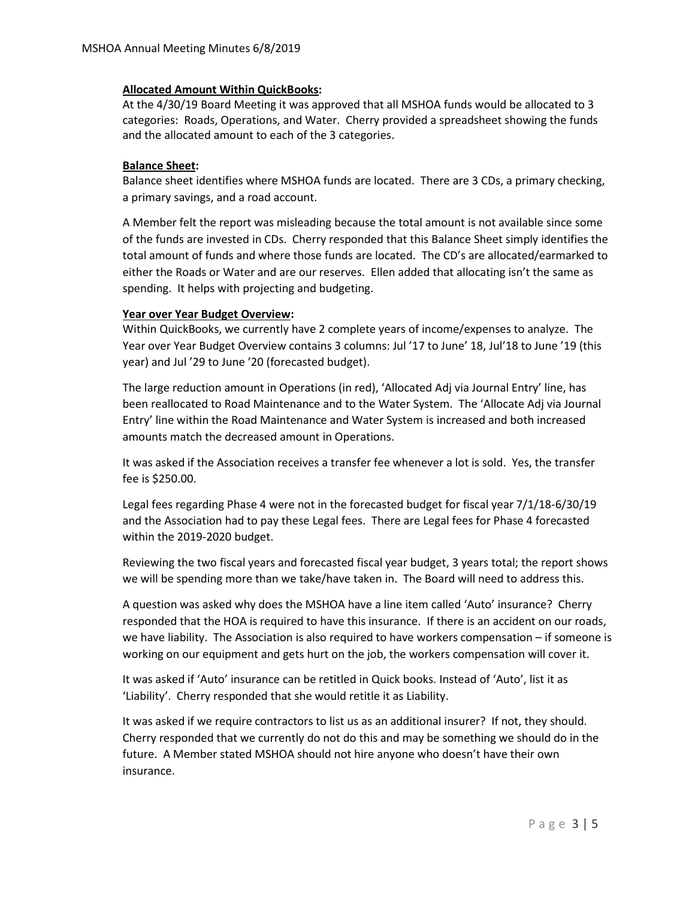## **Allocated Amount Within QuickBooks:**

At the 4/30/19 Board Meeting it was approved that all MSHOA funds would be allocated to 3 categories: Roads, Operations, and Water. Cherry provided a spreadsheet showing the funds and the allocated amount to each of the 3 categories.

#### **Balance Sheet:**

Balance sheet identifies where MSHOA funds are located. There are 3 CDs, a primary checking, a primary savings, and a road account.

A Member felt the report was misleading because the total amount is not available since some of the funds are invested in CDs. Cherry responded that this Balance Sheet simply identifies the total amount of funds and where those funds are located. The CD's are allocated/earmarked to either the Roads or Water and are our reserves. Ellen added that allocating isn't the same as spending. It helps with projecting and budgeting.

#### **Year over Year Budget Overview:**

Within QuickBooks, we currently have 2 complete years of income/expenses to analyze. The Year over Year Budget Overview contains 3 columns: Jul '17 to June' 18, Jul'18 to June '19 (this year) and Jul '29 to June '20 (forecasted budget).

The large reduction amount in Operations (in red), 'Allocated Adj via Journal Entry' line, has been reallocated to Road Maintenance and to the Water System. The 'Allocate Adj via Journal Entry' line within the Road Maintenance and Water System is increased and both increased amounts match the decreased amount in Operations.

It was asked if the Association receives a transfer fee whenever a lot is sold. Yes, the transfer fee is \$250.00.

Legal fees regarding Phase 4 were not in the forecasted budget for fiscal year 7/1/18-6/30/19 and the Association had to pay these Legal fees. There are Legal fees for Phase 4 forecasted within the 2019-2020 budget.

Reviewing the two fiscal years and forecasted fiscal year budget, 3 years total; the report shows we will be spending more than we take/have taken in. The Board will need to address this.

A question was asked why does the MSHOA have a line item called 'Auto' insurance? Cherry responded that the HOA is required to have this insurance. If there is an accident on our roads, we have liability. The Association is also required to have workers compensation – if someone is working on our equipment and gets hurt on the job, the workers compensation will cover it.

It was asked if 'Auto' insurance can be retitled in Quick books. Instead of 'Auto', list it as 'Liability'. Cherry responded that she would retitle it as Liability.

It was asked if we require contractors to list us as an additional insurer? If not, they should. Cherry responded that we currently do not do this and may be something we should do in the future. A Member stated MSHOA should not hire anyone who doesn't have their own insurance.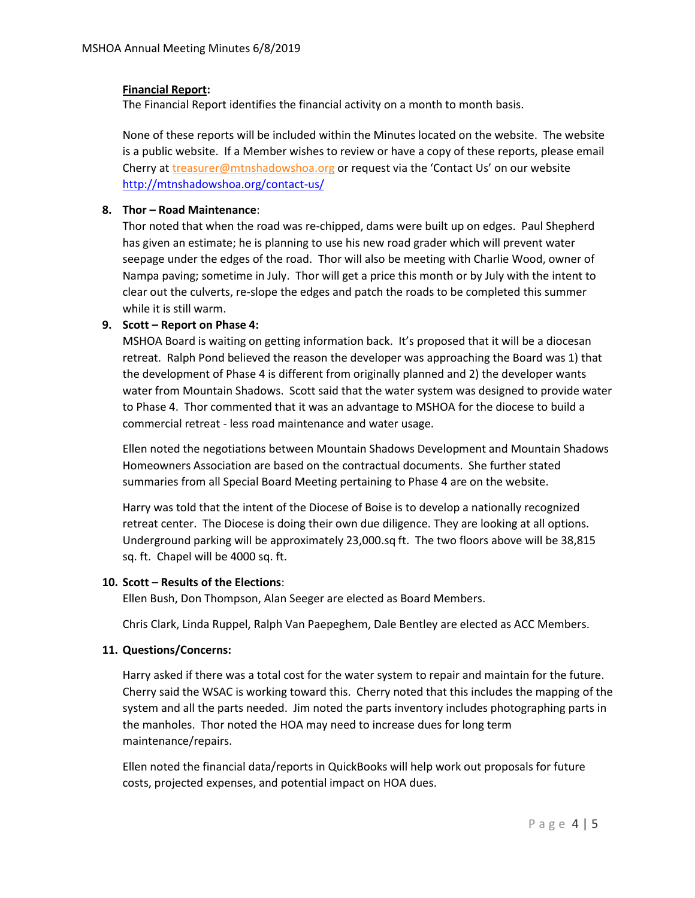## **Financial Report:**

The Financial Report identifies the financial activity on a month to month basis.

None of these reports will be included within the Minutes located on the website. The website is a public website. If a Member wishes to review or have a copy of these reports, please email Cherry a[t treasurer@mtnshadowshoa.org](mailto:treasurer@mtnshadowshoa.org) or request via the 'Contact Us' on our website <http://mtnshadowshoa.org/contact-us/>

#### **8. Thor – Road Maintenance**:

Thor noted that when the road was re-chipped, dams were built up on edges. Paul Shepherd has given an estimate; he is planning to use his new road grader which will prevent water seepage under the edges of the road. Thor will also be meeting with Charlie Wood, owner of Nampa paving; sometime in July. Thor will get a price this month or by July with the intent to clear out the culverts, re-slope the edges and patch the roads to be completed this summer while it is still warm.

## **9. Scott – Report on Phase 4:**

MSHOA Board is waiting on getting information back. It's proposed that it will be a diocesan retreat. Ralph Pond believed the reason the developer was approaching the Board was 1) that the development of Phase 4 is different from originally planned and 2) the developer wants water from Mountain Shadows. Scott said that the water system was designed to provide water to Phase 4. Thor commented that it was an advantage to MSHOA for the diocese to build a commercial retreat - less road maintenance and water usage.

Ellen noted the negotiations between Mountain Shadows Development and Mountain Shadows Homeowners Association are based on the contractual documents. She further stated summaries from all Special Board Meeting pertaining to Phase 4 are on the website.

Harry was told that the intent of the Diocese of Boise is to develop a nationally recognized retreat center. The Diocese is doing their own due diligence. They are looking at all options. Underground parking will be approximately 23,000.sq ft. The two floors above will be 38,815 sq. ft. Chapel will be 4000 sq. ft.

## **10. Scott – Results of the Elections**:

Ellen Bush, Don Thompson, Alan Seeger are elected as Board Members.

Chris Clark, Linda Ruppel, Ralph Van Paepeghem, Dale Bentley are elected as ACC Members.

## **11. Questions/Concerns:**

Harry asked if there was a total cost for the water system to repair and maintain for the future. Cherry said the WSAC is working toward this. Cherry noted that this includes the mapping of the system and all the parts needed. Jim noted the parts inventory includes photographing parts in the manholes. Thor noted the HOA may need to increase dues for long term maintenance/repairs.

Ellen noted the financial data/reports in QuickBooks will help work out proposals for future costs, projected expenses, and potential impact on HOA dues.